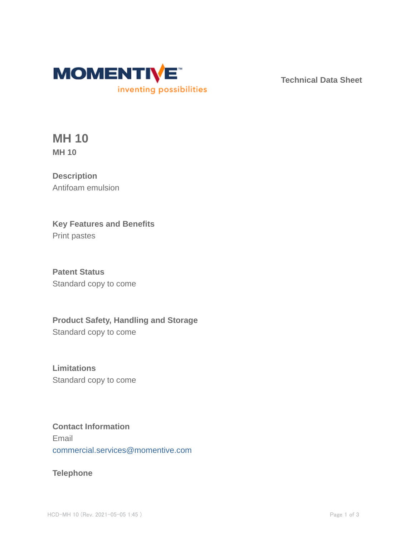

**Technical Data Sheet**

**MH 10 MH 10**

**Description** Antifoam emulsion

**Key Features and Benefits** Print pastes

**Patent Status** Standard copy to come

**Product Safety, Handling and Storage** Standard copy to come

**Limitations** Standard copy to come

## **Contact Information** Email commercial.services@momentive.com

## **Telephone**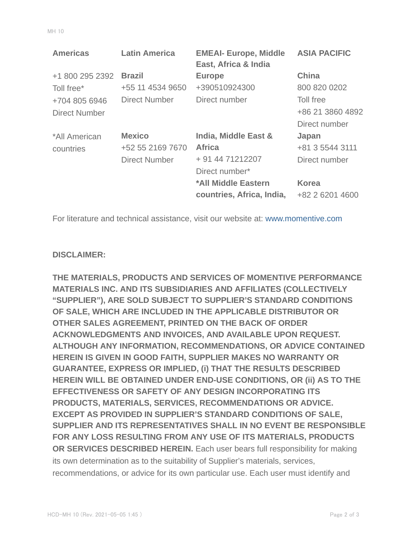| <b>EMEAI- Europe, Middle</b><br><b>ASIA PACIFIC</b><br>East, Africa & India |
|-----------------------------------------------------------------------------|
| <b>China</b>                                                                |
| 800 820 0202                                                                |
| Toll free                                                                   |
| +86 21 3860 4892                                                            |
| Direct number                                                               |
| India, Middle East &<br>Japan                                               |
| +81 3 5544 3111                                                             |
| Direct number                                                               |
|                                                                             |
| *All Middle Eastern<br><b>Korea</b>                                         |
| countries, Africa, India,<br>+82 2 6201 4600                                |
|                                                                             |

For literature and technical assistance, visit our website at: www.momentive.com

## **DISCLAIMER:**

**THE MATERIALS, PRODUCTS AND SERVICES OF MOMENTIVE PERFORMANCE MATERIALS INC. AND ITS SUBSIDIARIES AND AFFILIATES (COLLECTIVELY "SUPPLIER"), ARE SOLD SUBJECT TO SUPPLIER'S STANDARD CONDITIONS OF SALE, WHICH ARE INCLUDED IN THE APPLICABLE DISTRIBUTOR OR OTHER SALES AGREEMENT, PRINTED ON THE BACK OF ORDER ACKNOWLEDGMENTS AND INVOICES, AND AVAILABLE UPON REQUEST. ALTHOUGH ANY INFORMATION, RECOMMENDATIONS, OR ADVICE CONTAINED HEREIN IS GIVEN IN GOOD FAITH, SUPPLIER MAKES NO WARRANTY OR GUARANTEE, EXPRESS OR IMPLIED, (i) THAT THE RESULTS DESCRIBED HEREIN WILL BE OBTAINED UNDER END-USE CONDITIONS, OR (ii) AS TO THE EFFECTIVENESS OR SAFETY OF ANY DESIGN INCORPORATING ITS PRODUCTS, MATERIALS, SERVICES, RECOMMENDATIONS OR ADVICE. EXCEPT AS PROVIDED IN SUPPLIER'S STANDARD CONDITIONS OF SALE, SUPPLIER AND ITS REPRESENTATIVES SHALL IN NO EVENT BE RESPONSIBLE FOR ANY LOSS RESULTING FROM ANY USE OF ITS MATERIALS, PRODUCTS OR SERVICES DESCRIBED HEREIN.** Each user bears full responsibility for making its own determination as to the suitability of Supplier's materials, services, recommendations, or advice for its own particular use. Each user must identify and